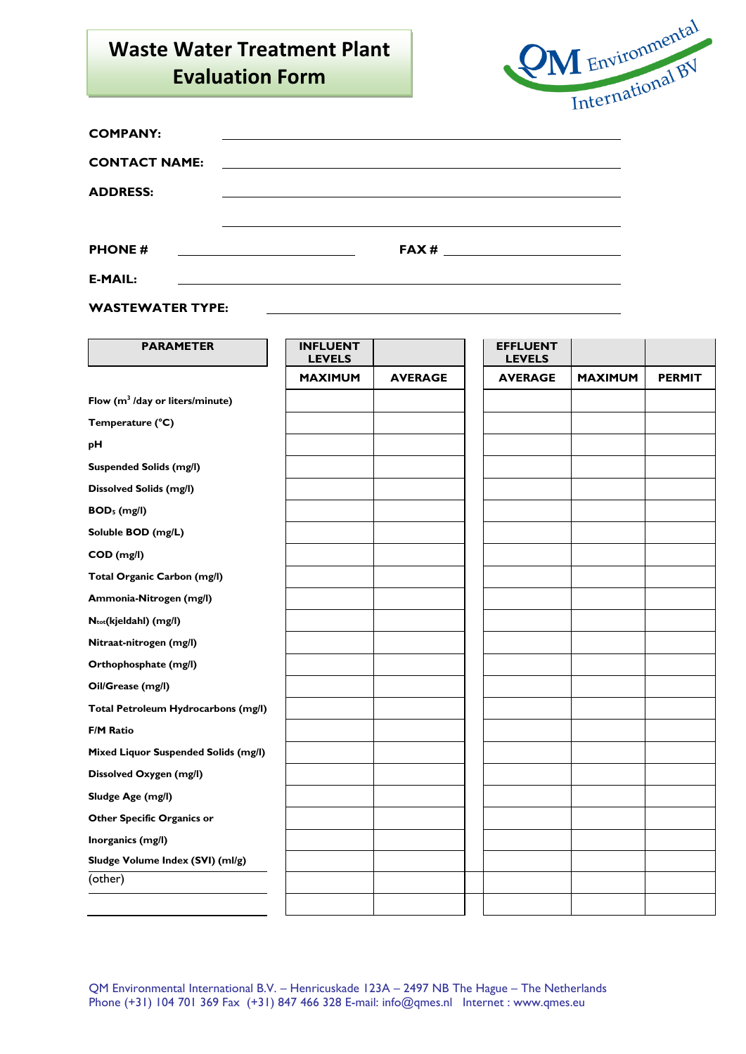## **Waste Water Treatment Plant Evaluation Form**

**WASTEWATER TYPE:**



| <b>COMPANY:</b>      |                                                   |  |
|----------------------|---------------------------------------------------|--|
| <b>CONTACT NAME:</b> |                                                   |  |
| <b>ADDRESS:</b>      |                                                   |  |
|                      |                                                   |  |
| <b>PHONE#</b>        | <u> 1990 - Johann Barbara, martin amerikan ba</u> |  |
| <b>E-MAIL:</b>       |                                                   |  |

| <b>PARAMETER</b>                            | <b>INFLUENT</b><br><b>LEVELS</b> |                |
|---------------------------------------------|----------------------------------|----------------|
|                                             | <b>MAXIMUM</b>                   | <b>AVERAGE</b> |
| Flow (m <sup>3</sup> /day or liters/minute) |                                  |                |
| Temperature (°C)                            |                                  |                |
| pH                                          |                                  |                |
| <b>Suspended Solids (mg/l)</b>              |                                  |                |
| <b>Dissolved Solids (mg/l)</b>              |                                  |                |
| BOD <sub>5</sub> (mg/l)                     |                                  |                |
| Soluble BOD (mg/L)                          |                                  |                |
| COD (mg/l)                                  |                                  |                |
| Total Organic Carbon (mg/l)                 |                                  |                |
| Ammonia-Nitrogen (mg/l)                     |                                  |                |
| Ntot(kjeldahl) (mg/l)                       |                                  |                |
| Nitraat-nitrogen (mg/l)                     |                                  |                |
| Orthophosphate (mg/l)                       |                                  |                |
| Oil/Grease (mg/l)                           |                                  |                |
| Total Petroleum Hydrocarbons (mg/l)         |                                  |                |
| <b>F/M Ratio</b>                            |                                  |                |
| Mixed Liquor Suspended Solids (mg/l)        |                                  |                |
| Dissolved Oxygen (mg/l)                     |                                  |                |
| Sludge Age (mg/l)                           |                                  |                |
| Other Specific Organics or                  |                                  |                |
| Inorganics (mg/l)                           |                                  |                |
| Sludge Volume Index (SVI) (ml/g)            |                                  |                |
| (other)                                     |                                  |                |
|                                             |                                  |                |

QM Environmental International B.V. – Henricuskade 123A – 2497 NB The Hague – The Netherlands Phone (+31) 104 701 369 Fax (+31) 847 466 328 E-mail: info@qmes.nl Internet : www.qmes.eu